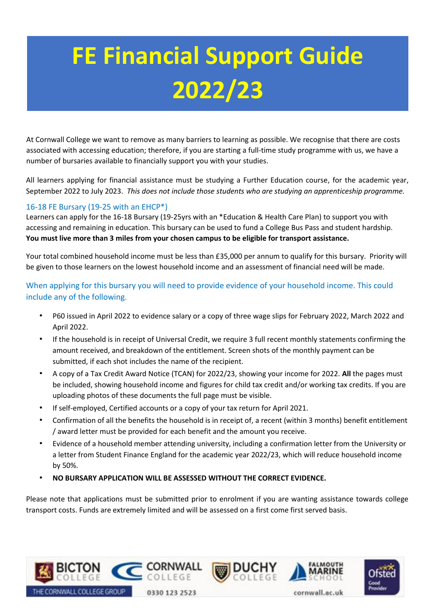# **FE Financial Support Guide 2022/23**

At Cornwall College we want to remove as many barriers to learning as possible. We recognise that there are costs associated with accessing education; therefore, if you are starting a full-time study programme with us, we have a number of bursaries available to financially support you with your studies.

All learners applying for financial assistance must be studying a Further Education course, for the academic year, September 2022 to July 2023. *This does not include those students who are studying an apprenticeship programme.* 

## 16-18 FE Bursary (19-25 with an EHCP\*)

Learners can apply for the 16-18 Bursary (19-25yrs with an \*Education & Health Care Plan) to support you with accessing and remaining in education. This bursary can be used to fund a College Bus Pass and student hardship. **You must live more than 3 miles from your chosen campus to be eligible for transport assistance.** 

Your total combined household income must be less than £35,000 per annum to qualify for this bursary. Priority will be given to those learners on the lowest household income and an assessment of financial need will be made.

When applying for this bursary you will need to provide evidence of your household income. This could include any of the following.

- P60 issued in April 2022 to evidence salary or a copy of three wage slips for February 2022, March 2022 and April 2022.
- If the household is in receipt of Universal Credit, we require 3 full recent monthly statements confirming the amount received, and breakdown of the entitlement. Screen shots of the monthly payment can be submitted, if each shot includes the name of the recipient.
- A copy of a Tax Credit Award Notice (TCAN) for 2022/23, showing your income for 2022. **All** the pages must be included, showing household income and figures for child tax credit and/or working tax credits. If you are uploading photos of these documents the full page must be visible.
- If self-employed, Certified accounts or a copy of your tax return for April 2021.
- Confirmation of all the benefits the household is in receipt of, a recent (within 3 months) benefit entitlement / award letter must be provided for each benefit and the amount you receive.
- Evidence of a household member attending university, including a confirmation letter from the University or a letter from Student Finance England for the academic year 2022/23, which will reduce household income by 50%.
- **NO BURSARY APPLICATION WILL BE ASSESSED WITHOUT THE CORRECT EVIDENCE.**

Please note that applications must be submitted prior to enrolment if you are wanting assistance towards college transport costs. Funds are extremely limited and will be assessed on a first come first served basis.

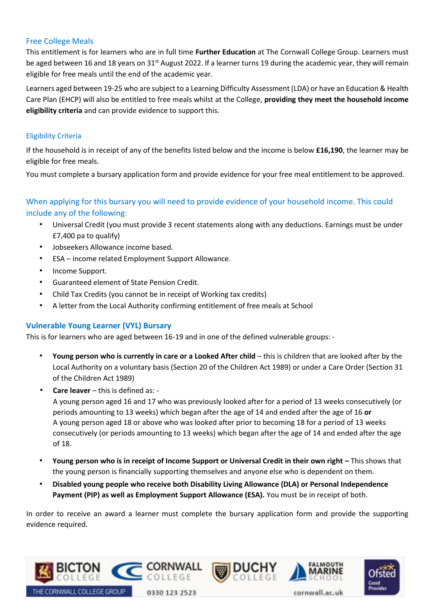## Free College Meals

This entitlement is for learners who are in full time **Further Education** at The Cornwall College Group. Learners must be aged between 16 and 18 years on 31<sup>st</sup> August 2022. If a learner turns 19 during the academic year, they will remain eligible for free meals until the end of the academic year.

Learners aged between 19-25 who are subject to a Learning Difficulty Assessment (LDA) or have an Education & Health Care Plan (EHCP) will also be entitled to free meals whilst at the College, **providing they meet the household income eligibility criteria** and can provide evidence to support this.

## Eligibility Criteria

If the household is in receipt of any of the benefits listed below and the income is below **£16,190**, the learner may be eligible for free meals.

You must complete a bursary application form and provide evidence for your free meal entitlement to be approved.

# When applying for this bursary you will need to provide evidence of your household income. This could include any of the following:

- Universal Credit (you must provide 3 recent statements along with any deductions. Earnings must be under £7,400 pa to qualify)
- Jobseekers Allowance income based.
- ESA income related Employment Support Allowance.
- Income Support.
- Guaranteed element of State Pension Credit.
- Child Tax Credits (you cannot be in receipt of Working tax credits)
- A letter from the Local Authority confirming entitlement of free meals at School

## **Vulnerable Young Learner (VYL) Bursary**

This is for learners who are aged between 16-19 and in one of the defined vulnerable groups: -

- **Young person who is currently in care or a Looked After child** this is children that are looked after by the Local Authority on a voluntary basis (Section 20 of the Children Act 1989) or under a Care Order (Section 31 of the Children Act 1989)
- **Care leaver** this is defined as: -

A young person aged 16 and 17 who was previously looked after for a period of 13 weeks consecutively (or periods amounting to 13 weeks) which began after the age of 14 and ended after the age of 16 **or** A young person aged 18 or above who was looked after prior to becoming 18 for a period of 13 weeks consecutively (or periods amounting to 13 weeks) which began after the age of 14 and ended after the age of 18.

- **Young person who is in receipt of Income Support or Universal Credit in their own right –** This shows that the young person is financially supporting themselves and anyone else who is dependent on them.
- **Disabled young people who receive both Disability Living Allowance (DLA) or Personal Independence Payment (PIP) as well as Employment Support Allowance (ESA).** You must be in receipt of both.

In order to receive an award a learner must complete the bursary application form and provide the supporting evidence required.

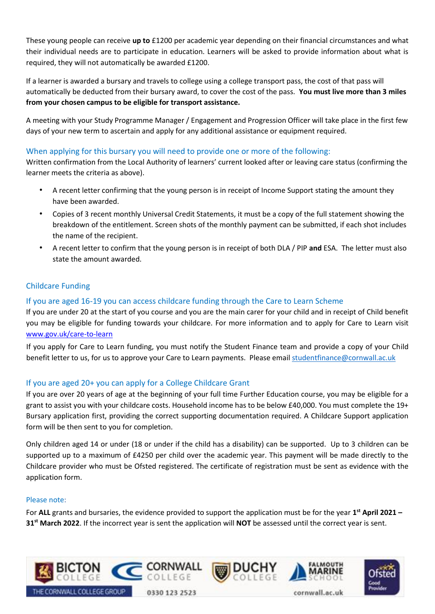These young people can receive **up to** £1200 per academic year depending on their financial circumstances and what their individual needs are to participate in education. Learners will be asked to provide information about what is required, they will not automatically be awarded £1200.

If a learner is awarded a bursary and travels to college using a college transport pass, the cost of that pass will automatically be deducted from their bursary award, to cover the cost of the pass. **You must live more than 3 miles from your chosen campus to be eligible for transport assistance.** 

A meeting with your Study Programme Manager / Engagement and Progression Officer will take place in the first few days of your new term to ascertain and apply for any additional assistance or equipment required.

## When applying for this bursary you will need to provide one or more of the following:

Written confirmation from the Local Authority of learners' current looked after or leaving care status (confirming the learner meets the criteria as above).

- A recent letter confirming that the young person is in receipt of Income Support stating the amount they have been awarded.
- Copies of 3 recent monthly Universal Credit Statements, it must be a copy of the full statement showing the breakdown of the entitlement. Screen shots of the monthly payment can be submitted, if each shot includes the name of the recipient.
- A recent letter to confirm that the young person is in receipt of both DLA / PIP **and** ESA. The letter must also state the amount awarded.

## Childcare Funding

## If you are aged 16-19 you can access childcare funding through the Care to Learn Scheme

If you are under 20 at the start of you course and you are the main carer for your child and in receipt of Child benefit you may be eligible for funding towards your childcare. For more information and to apply for Care to Learn visit [www.gov.uk/care-to-learn](http://www.gov.uk/care-to-learn)

If you apply for Care to Learn funding, you must notify the Student Finance team and provide a copy of your Child benefit letter to us, for us to approve your Care to Learn payments. Please email [studentfinance@cornwall.ac.uk](mailto:studentfinance@cornwall.ac.uk)

## If you are aged 20+ you can apply for a College Childcare Grant

If you are over 20 years of age at the beginning of your full time Further Education course, you may be eligible for a grant to assist you with your childcare costs. Household income has to be below £40,000. You must complete the 19+ Bursary application first, providing the correct supporting documentation required. A Childcare Support application form will be then sent to you for completion.

Only children aged 14 or under (18 or under if the child has a disability) can be supported. Up to 3 children can be supported up to a maximum of £4250 per child over the academic year. This payment will be made directly to the Childcare provider who must be Ofsted registered. The certificate of registration must be sent as evidence with the application form.

#### Please note:

For **ALL** grants and bursaries, the evidence provided to support the application must be for the year **1 st April 2021 – 31st March 2022**. If the incorrect year is sent the application will **NOT** be assessed until the correct year is sent.

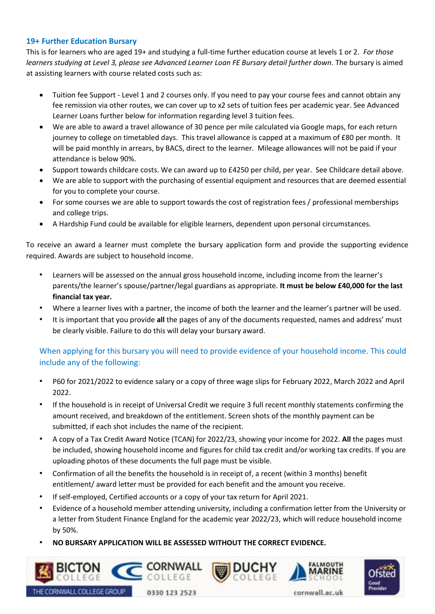## **19+ Further Education Bursary**

This is for learners who are aged 19+ and studying a full-time further education course at levels 1 or 2. *For those learners studying at Level 3, please see Advanced Learner Loan FE Bursary detail further down*. The bursary is aimed at assisting learners with course related costs such as:

- Tuition fee Support Level 1 and 2 courses only. If you need to pay your course fees and cannot obtain any fee remission via other routes, we can cover up to x2 sets of tuition fees per academic year. See Advanced Learner Loans further below for information regarding level 3 tuition fees.
- We are able to award a travel allowance of 30 pence per mile calculated via Google maps, for each return journey to college on timetabled days. This travel allowance is capped at a maximum of £80 per month. It will be paid monthly in arrears, by BACS, direct to the learner. Mileage allowances will not be paid if your attendance is below 90%.
- Support towards childcare costs. We can award up to £4250 per child, per year. See Childcare detail above.
- We are able to support with the purchasing of essential equipment and resources that are deemed essential for you to complete your course.
- For some courses we are able to support towards the cost of registration fees / professional memberships and college trips.
- A Hardship Fund could be available for eligible learners, dependent upon personal circumstances.

To receive an award a learner must complete the bursary application form and provide the supporting evidence required. Awards are subject to household income.

- Learners will be assessed on the annual gross household income, including income from the learner's parents/the learner's spouse/partner/legal guardians as appropriate. **It must be below £40,000 for the last financial tax year.**
- Where a learner lives with a partner, the income of both the learner and the learner's partner will be used.
- It is important that you provide **all** the pages of any of the documents requested, names and address' must be clearly visible. Failure to do this will delay your bursary award.

# When applying for this bursary you will need to provide evidence of your household income. This could include any of the following:

- P60 for 2021/2022 to evidence salary or a copy of three wage slips for February 2022, March 2022 and April 2022.
- If the household is in receipt of Universal Credit we require 3 full recent monthly statements confirming the amount received, and breakdown of the entitlement. Screen shots of the monthly payment can be submitted, if each shot includes the name of the recipient.
- A copy of a Tax Credit Award Notice (TCAN) for 2022/23, showing your income for 2022. **All** the pages must be included, showing household income and figures for child tax credit and/or working tax credits. If you are uploading photos of these documents the full page must be visible.
- Confirmation of all the benefits the household is in receipt of, a recent (within 3 months) benefit entitlement/ award letter must be provided for each benefit and the amount you receive.
- If self-employed, Certified accounts or a copy of your tax return for April 2021.
- Evidence of a household member attending university, including a confirmation letter from the University or a letter from Student Finance England for the academic year 2022/23, which will reduce household income by 50%.
- **NO BURSARY APPLICATION WILL BE ASSESSED WITHOUT THE CORRECT EVIDENCE.**





CORNWALL COLLEGE GROUP

cornwall.ac.uk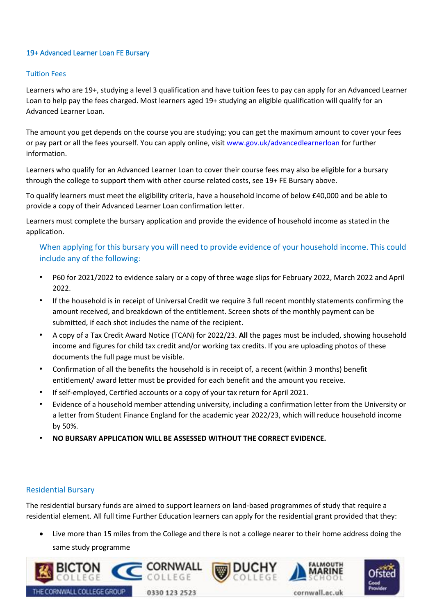## 19+ Advanced Learner Loan FE Bursary

#### Tuition Fees

Learners who are 19+, studying a level 3 qualification and have tuition fees to pay can apply for an Advanced Learner Loan to help pay the fees charged. Most learners aged 19+ studying an eligible qualification will qualify for an Advanced Learner Loan.

The amount you get depends on the course you are studying; you can get the maximum amount to cover your fees or pay part or all the fees yourself. You can apply online, visit [www.gov.uk/advancedlearnerloan](http://www.gov.uk/advancedlearnerloan) [f](http://www.gov.uk/advancedlearnerloan)or further information.

Learners who qualify for an Advanced Learner Loan to cover their course fees may also be eligible for a bursary through the college to support them with other course related costs, see 19+ FE Bursary above.

To qualify learners must meet the eligibility criteria, have a household income of below £40,000 and be able to provide a copy of their Advanced Learner Loan confirmation letter.

Learners must complete the bursary application and provide the evidence of household income as stated in the application.

When applying for this bursary you will need to provide evidence of your household income. This could include any of the following:

- P60 for 2021/2022 to evidence salary or a copy of three wage slips for February 2022, March 2022 and April 2022.
- If the household is in receipt of Universal Credit we require 3 full recent monthly statements confirming the amount received, and breakdown of the entitlement. Screen shots of the monthly payment can be submitted, if each shot includes the name of the recipient.
- A copy of a Tax Credit Award Notice (TCAN) for 2022/23. **All** the pages must be included, showing household income and figures for child tax credit and/or working tax credits. If you are uploading photos of these documents the full page must be visible.
- Confirmation of all the benefits the household is in receipt of, a recent (within 3 months) benefit entitlement/ award letter must be provided for each benefit and the amount you receive.
- If self-employed, Certified accounts or a copy of your tax return for April 2021.
- Evidence of a household member attending university, including a confirmation letter from the University or a letter from Student Finance England for the academic year 2022/23, which will reduce household income by 50%.
- **NO BURSARY APPLICATION WILL BE ASSESSED WITHOUT THE CORRECT EVIDENCE.**

#### Residential Bursary

The residential bursary funds are aimed to support learners on land-based programmes of study that require a residential element. All full time Further Education learners can apply for the residential grant provided that they:

• Live more than 15 miles from the College and there is not a college nearer to their home address doing the same study programme

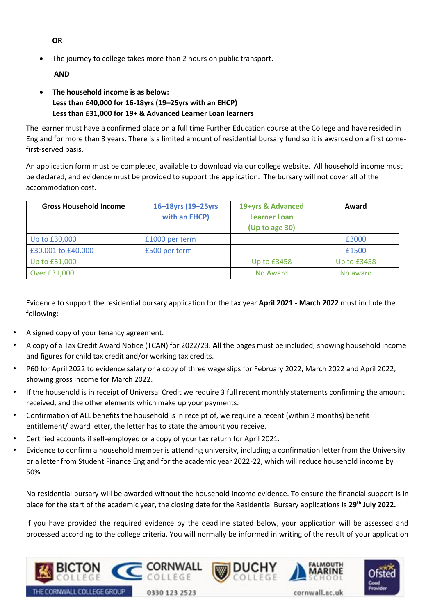**OR** 

The journey to college takes more than 2 hours on public transport.

**AND** 

• **The household income is as below: Less than £40,000 for 16-18yrs (19–25yrs with an EHCP) Less than £31,000 for 19+ & Advanced Learner Loan learners** 

The learner must have a confirmed place on a full time Further Education course at the College and have resided in England for more than 3 years. There is a limited amount of residential bursary fund so it is awarded on a first comefirst-served basis.

An application form must be completed, available to download via our college website. All household income must be declared, and evidence must be provided to support the application. The bursary will not cover all of the accommodation cost.

| <b>Gross Household Income</b> | 16-18yrs (19-25yrs<br>with an EHCP) | 19+yrs & Advanced<br><b>Learner Loan</b><br>(Up to age 30) | Award       |
|-------------------------------|-------------------------------------|------------------------------------------------------------|-------------|
| Up to £30,000                 | £1000 per term                      |                                                            | £3000       |
| £30,001 to £40,000            | £500 per term                       |                                                            | £1500       |
| Up to £31,000                 |                                     | <b>Up to £3458</b>                                         | Up to £3458 |
| Over £31,000                  |                                     | No Award                                                   | No award    |

Evidence to support the residential bursary application for the tax year **April 2021 - March 2022** must include the following:

- A signed copy of your tenancy agreement.
- A copy of a Tax Credit Award Notice (TCAN) for 2022/23. **All** the pages must be included, showing household income and figures for child tax credit and/or working tax credits.
- P60 for April 2022 to evidence salary or a copy of three wage slips for February 2022, March 2022 and April 2022, showing gross income for March 2022.
- If the household is in receipt of Universal Credit we require 3 full recent monthly statements confirming the amount received, and the other elements which make up your payments.
- Confirmation of ALL benefits the household is in receipt of, we require a recent (within 3 months) benefit entitlement/ award letter, the letter has to state the amount you receive.
- Certified accounts if self-employed or a copy of your tax return for April 2021.
- Evidence to confirm a household member is attending university, including a confirmation letter from the University or a letter from Student Finance England for the academic year 2022-22, which will reduce household income by 50%.

No residential bursary will be awarded without the household income evidence. To ensure the financial support is in place for the start of the academic year, the closing date for the Residential Bursary applications is **29th July 2022.**

If you have provided the required evidence by the deadline stated below, your application will be assessed and processed according to the college criteria. You will normally be informed in writing of the result of your application